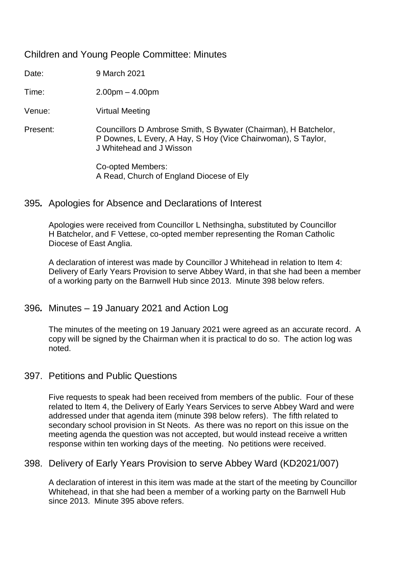## Children and Young People Committee: Minutes

Date: 9 March 2021

Time: 2.00pm – 4.00pm

Venue: Virtual Meeting

Present: Councillors D Ambrose Smith, S Bywater (Chairman), H Batchelor, P Downes, L Every, A Hay, S Hoy (Vice Chairwoman), S Taylor, J Whitehead and J Wisson

> Co-opted Members: A Read, Church of England Diocese of Ely

#### 395*.* Apologies for Absence and Declarations of Interest

Apologies were received from Councillor L Nethsingha, substituted by Councillor H Batchelor, and F Vettese, co-opted member representing the Roman Catholic Diocese of East Anglia.

A declaration of interest was made by Councillor J Whitehead in relation to Item 4: Delivery of Early Years Provision to serve Abbey Ward, in that she had been a member of a working party on the Barnwell Hub since 2013. Minute 398 below refers.

## 396*.* Minutes – 19 January 2021 and Action Log

The minutes of the meeting on 19 January 2021 were agreed as an accurate record. A copy will be signed by the Chairman when it is practical to do so. The action log was noted.

#### 397. Petitions and Public Questions

Five requests to speak had been received from members of the public. Four of these related to Item 4, the Delivery of Early Years Services to serve Abbey Ward and were addressed under that agenda item (minute 398 below refers). The fifth related to secondary school provision in St Neots. As there was no report on this issue on the meeting agenda the question was not accepted, but would instead receive a written response within ten working days of the meeting. No petitions were received.

#### 398. Delivery of Early Years Provision to serve Abbey Ward (KD2021/007)

A declaration of interest in this item was made at the start of the meeting by Councillor Whitehead, in that she had been a member of a working party on the Barnwell Hub since 2013. Minute 395 above refers.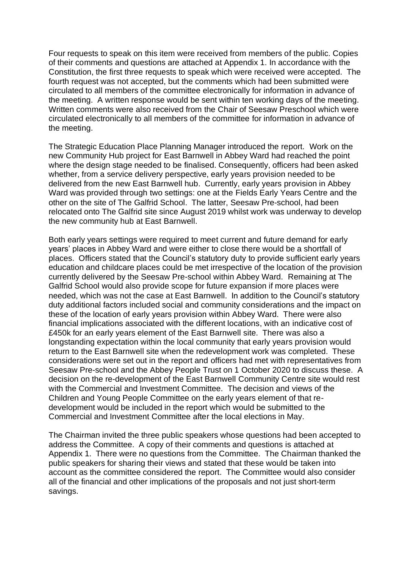Four requests to speak on this item were received from members of the public. Copies of their comments and questions are attached at Appendix 1. In accordance with the Constitution, the first three requests to speak which were received were accepted. The fourth request was not accepted, but the comments which had been submitted were circulated to all members of the committee electronically for information in advance of the meeting. A written response would be sent within ten working days of the meeting. Written comments were also received from the Chair of Seesaw Preschool which were circulated electronically to all members of the committee for information in advance of the meeting.

The Strategic Education Place Planning Manager introduced the report. Work on the new Community Hub project for East Barnwell in Abbey Ward had reached the point where the design stage needed to be finalised. Consequently, officers had been asked whether, from a service delivery perspective, early years provision needed to be delivered from the new East Barnwell hub. Currently, early years provision in Abbey Ward was provided through two settings: one at the Fields Early Years Centre and the other on the site of The Galfrid School. The latter, Seesaw Pre-school, had been relocated onto The Galfrid site since August 2019 whilst work was underway to develop the new community hub at East Barnwell.

Both early years settings were required to meet current and future demand for early years' places in Abbey Ward and were either to close there would be a shortfall of places. Officers stated that the Council's statutory duty to provide sufficient early years education and childcare places could be met irrespective of the location of the provision currently delivered by the Seesaw Pre-school within Abbey Ward. Remaining at The Galfrid School would also provide scope for future expansion if more places were needed, which was not the case at East Barnwell. In addition to the Council's statutory duty additional factors included social and community considerations and the impact on these of the location of early years provision within Abbey Ward. There were also financial implications associated with the different locations, with an indicative cost of £450k for an early years element of the East Barnwell site. There was also a longstanding expectation within the local community that early years provision would return to the East Barnwell site when the redevelopment work was completed. These considerations were set out in the report and officers had met with representatives from Seesaw Pre-school and the Abbey People Trust on 1 October 2020 to discuss these. A decision on the re-development of the East Barnwell Community Centre site would rest with the Commercial and Investment Committee. The decision and views of the Children and Young People Committee on the early years element of that redevelopment would be included in the report which would be submitted to the Commercial and Investment Committee after the local elections in May.

The Chairman invited the three public speakers whose questions had been accepted to address the Committee. A copy of their comments and questions is attached at Appendix 1. There were no questions from the Committee. The Chairman thanked the public speakers for sharing their views and stated that these would be taken into account as the committee considered the report. The Committee would also consider all of the financial and other implications of the proposals and not just short-term savings.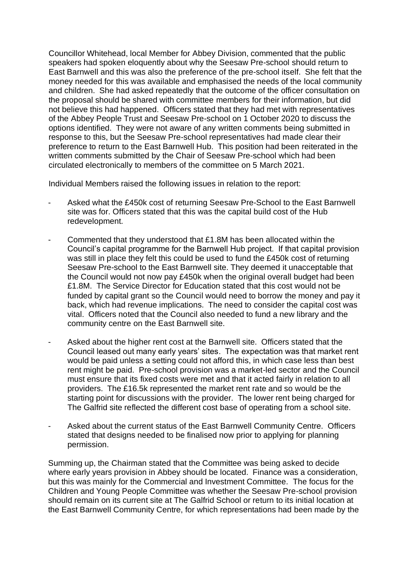Councillor Whitehead, local Member for Abbey Division, commented that the public speakers had spoken eloquently about why the Seesaw Pre-school should return to East Barnwell and this was also the preference of the pre-school itself. She felt that the money needed for this was available and emphasised the needs of the local community and children. She had asked repeatedly that the outcome of the officer consultation on the proposal should be shared with committee members for their information, but did not believe this had happened. Officers stated that they had met with representatives of the Abbey People Trust and Seesaw Pre-school on 1 October 2020 to discuss the options identified. They were not aware of any written comments being submitted in response to this, but the Seesaw Pre-school representatives had made clear their preference to return to the East Barnwell Hub. This position had been reiterated in the written comments submitted by the Chair of Seesaw Pre-school which had been circulated electronically to members of the committee on 5 March 2021.

Individual Members raised the following issues in relation to the report:

- Asked what the £450k cost of returning Seesaw Pre-School to the East Barnwell site was for. Officers stated that this was the capital build cost of the Hub redevelopment.
- Commented that they understood that £1.8M has been allocated within the Council's capital programme for the Barnwell Hub project. If that capital provision was still in place they felt this could be used to fund the £450k cost of returning Seesaw Pre-school to the East Barnwell site. They deemed it unacceptable that the Council would not now pay £450k when the original overall budget had been £1.8M. The Service Director for Education stated that this cost would not be funded by capital grant so the Council would need to borrow the money and pay it back, which had revenue implications. The need to consider the capital cost was vital. Officers noted that the Council also needed to fund a new library and the community centre on the East Barnwell site.
- Asked about the higher rent cost at the Barnwell site. Officers stated that the Council leased out many early years' sites. The expectation was that market rent would be paid unless a setting could not afford this, in which case less than best rent might be paid. Pre-school provision was a market-led sector and the Council must ensure that its fixed costs were met and that it acted fairly in relation to all providers. The £16.5k represented the market rent rate and so would be the starting point for discussions with the provider. The lower rent being charged for The Galfrid site reflected the different cost base of operating from a school site.
- Asked about the current status of the East Barnwell Community Centre. Officers stated that designs needed to be finalised now prior to applying for planning permission.

Summing up, the Chairman stated that the Committee was being asked to decide where early years provision in Abbey should be located. Finance was a consideration, but this was mainly for the Commercial and Investment Committee. The focus for the Children and Young People Committee was whether the Seesaw Pre-school provision should remain on its current site at The Galfrid School or return to its initial location at the East Barnwell Community Centre, for which representations had been made by the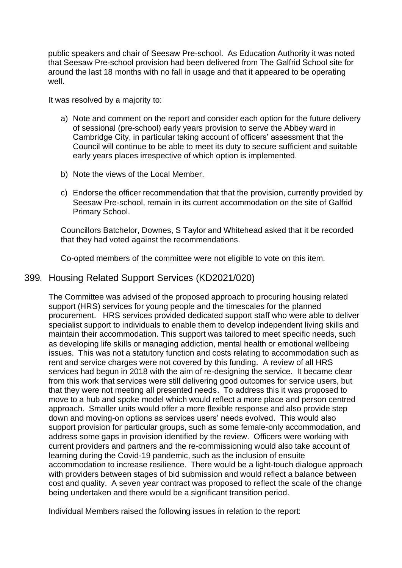public speakers and chair of Seesaw Pre-school. As Education Authority it was noted that Seesaw Pre-school provision had been delivered from The Galfrid School site for around the last 18 months with no fall in usage and that it appeared to be operating well.

It was resolved by a majority to:

- a) Note and comment on the report and consider each option for the future delivery of sessional (pre-school) early years provision to serve the Abbey ward in Cambridge City, in particular taking account of officers' assessment that the Council will continue to be able to meet its duty to secure sufficient and suitable early years places irrespective of which option is implemented.
- b) Note the views of the Local Member.
- c) Endorse the officer recommendation that that the provision, currently provided by Seesaw Pre-school, remain in its current accommodation on the site of Galfrid Primary School.

Councillors Batchelor, Downes, S Taylor and Whitehead asked that it be recorded that they had voted against the recommendations.

Co-opted members of the committee were not eligible to vote on this item.

### 399*.* Housing Related Support Services (KD2021/020)

The Committee was advised of the proposed approach to procuring housing related support (HRS) services for young people and the timescales for the planned procurement. HRS services provided dedicated support staff who were able to deliver specialist support to individuals to enable them to develop independent living skills and maintain their accommodation. This support was tailored to meet specific needs, such as developing life skills or managing addiction, mental health or emotional wellbeing issues. This was not a statutory function and costs relating to accommodation such as rent and service charges were not covered by this funding. A review of all HRS services had begun in 2018 with the aim of re-designing the service. It became clear from this work that services were still delivering good outcomes for service users, but that they were not meeting all presented needs. To address this it was proposed to move to a hub and spoke model which would reflect a more place and person centred approach. Smaller units would offer a more flexible response and also provide step down and moving-on options as services users' needs evolved. This would also support provision for particular groups, such as some female-only accommodation, and address some gaps in provision identified by the review. Officers were working with current providers and partners and the re-commissioning would also take account of learning during the Covid-19 pandemic, such as the inclusion of ensuite accommodation to increase resilience. There would be a light-touch dialogue approach with providers between stages of bid submission and would reflect a balance between cost and quality. A seven year contract was proposed to reflect the scale of the change being undertaken and there would be a significant transition period.

Individual Members raised the following issues in relation to the report: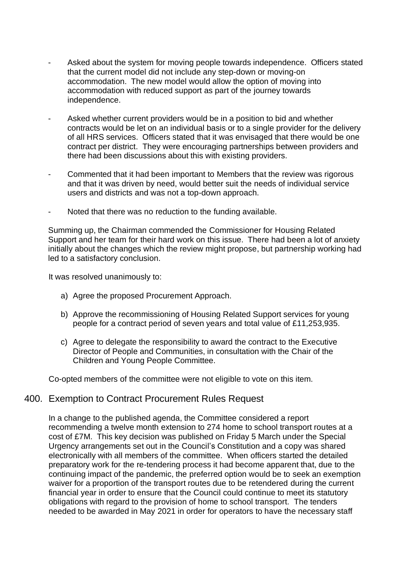- Asked about the system for moving people towards independence. Officers stated that the current model did not include any step-down or moving-on accommodation. The new model would allow the option of moving into accommodation with reduced support as part of the journey towards independence.
- Asked whether current providers would be in a position to bid and whether contracts would be let on an individual basis or to a single provider for the delivery of all HRS services. Officers stated that it was envisaged that there would be one contract per district. They were encouraging partnerships between providers and there had been discussions about this with existing providers.
- Commented that it had been important to Members that the review was rigorous and that it was driven by need, would better suit the needs of individual service users and districts and was not a top-down approach.
- Noted that there was no reduction to the funding available.

Summing up, the Chairman commended the Commissioner for Housing Related Support and her team for their hard work on this issue. There had been a lot of anxiety initially about the changes which the review might propose, but partnership working had led to a satisfactory conclusion.

It was resolved unanimously to:

- a) Agree the proposed Procurement Approach.
- b) Approve the recommissioning of Housing Related Support services for young people for a contract period of seven years and total value of £11,253,935.
- c) Agree to delegate the responsibility to award the contract to the Executive Director of People and Communities, in consultation with the Chair of the Children and Young People Committee.

Co-opted members of the committee were not eligible to vote on this item.

#### 400. Exemption to Contract Procurement Rules Request

In a change to the published agenda, the Committee considered a report recommending a twelve month extension to 274 home to school transport routes at a cost of £7M. This key decision was published on Friday 5 March under the Special Urgency arrangements set out in the Council's Constitution and a copy was shared electronically with all members of the committee. When officers started the detailed preparatory work for the re-tendering process it had become apparent that, due to the continuing impact of the pandemic, the preferred option would be to seek an exemption waiver for a proportion of the transport routes due to be retendered during the current financial year in order to ensure that the Council could continue to meet its statutory obligations with regard to the provision of home to school transport. The tenders needed to be awarded in May 2021 in order for operators to have the necessary staff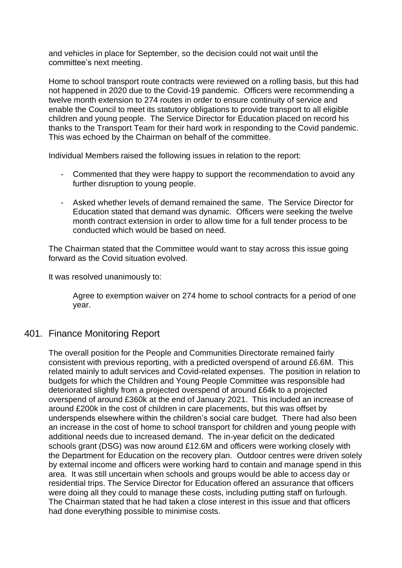and vehicles in place for September, so the decision could not wait until the committee's next meeting.

Home to school transport route contracts were reviewed on a rolling basis, but this had not happened in 2020 due to the Covid-19 pandemic. Officers were recommending a twelve month extension to 274 routes in order to ensure continuity of service and enable the Council to meet its statutory obligations to provide transport to all eligible children and young people. The Service Director for Education placed on record his thanks to the Transport Team for their hard work in responding to the Covid pandemic. This was echoed by the Chairman on behalf of the committee.

Individual Members raised the following issues in relation to the report:

- Commented that they were happy to support the recommendation to avoid any further disruption to young people.
- Asked whether levels of demand remained the same. The Service Director for Education stated that demand was dynamic. Officers were seeking the twelve month contract extension in order to allow time for a full tender process to be conducted which would be based on need.

The Chairman stated that the Committee would want to stay across this issue going forward as the Covid situation evolved.

It was resolved unanimously to:

Agree to exemption waiver on 274 home to school contracts for a period of one year.

## 401. Finance Monitoring Report

The overall position for the People and Communities Directorate remained fairly consistent with previous reporting, with a predicted overspend of around £6.6M. This related mainly to adult services and Covid-related expenses. The position in relation to budgets for which the Children and Young People Committee was responsible had deteriorated slightly from a projected overspend of around £64k to a projected overspend of around £360k at the end of January 2021. This included an increase of around £200k in the cost of children in care placements, but this was offset by underspends elsewhere within the children's social care budget. There had also been an increase in the cost of home to school transport for children and young people with additional needs due to increased demand. The in-year deficit on the dedicated schools grant (DSG) was now around £12.6M and officers were working closely with the Department for Education on the recovery plan. Outdoor centres were driven solely by external income and officers were working hard to contain and manage spend in this area. It was still uncertain when schools and groups would be able to access day or residential trips. The Service Director for Education offered an assurance that officers were doing all they could to manage these costs, including putting staff on furlough. The Chairman stated that he had taken a close interest in this issue and that officers had done everything possible to minimise costs.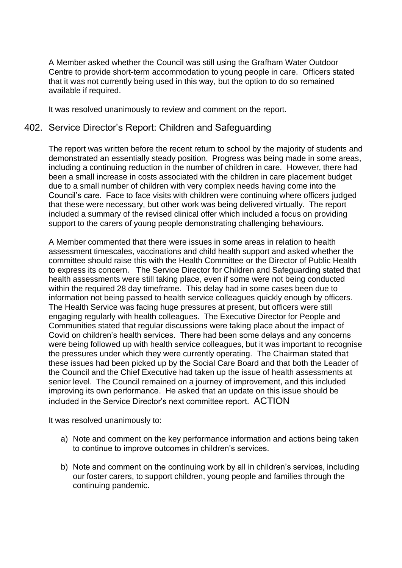A Member asked whether the Council was still using the Grafham Water Outdoor Centre to provide short-term accommodation to young people in care. Officers stated that it was not currently being used in this way, but the option to do so remained available if required.

It was resolved unanimously to review and comment on the report.

### 402. Service Director's Report: Children and Safeguarding

The report was written before the recent return to school by the majority of students and demonstrated an essentially steady position. Progress was being made in some areas, including a continuing reduction in the number of children in care. However, there had been a small increase in costs associated with the children in care placement budget due to a small number of children with very complex needs having come into the Council's care. Face to face visits with children were continuing where officers judged that these were necessary, but other work was being delivered virtually. The report included a summary of the revised clinical offer which included a focus on providing support to the carers of young people demonstrating challenging behaviours.

A Member commented that there were issues in some areas in relation to health assessment timescales, vaccinations and child health support and asked whether the committee should raise this with the Health Committee or the Director of Public Health to express its concern. The Service Director for Children and Safeguarding stated that health assessments were still taking place, even if some were not being conducted within the required 28 day timeframe. This delay had in some cases been due to information not being passed to health service colleagues quickly enough by officers. The Health Service was facing huge pressures at present, but officers were still engaging regularly with health colleagues. The Executive Director for People and Communities stated that regular discussions were taking place about the impact of Covid on children's health services. There had been some delays and any concerns were being followed up with health service colleagues, but it was important to recognise the pressures under which they were currently operating. The Chairman stated that these issues had been picked up by the Social Care Board and that both the Leader of the Council and the Chief Executive had taken up the issue of health assessments at senior level. The Council remained on a journey of improvement, and this included improving its own performance. He asked that an update on this issue should be included in the Service Director's next committee report. ACTION

It was resolved unanimously to:

- a) Note and comment on the key performance information and actions being taken to continue to improve outcomes in children's services.
- b) Note and comment on the continuing work by all in children's services, including our foster carers, to support children, young people and families through the continuing pandemic.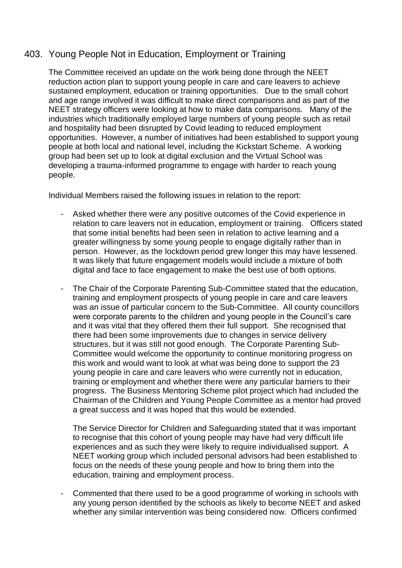## 403. Young People Not in Education, Employment or Training

The Committee received an update on the work being done through the NEET reduction action plan to support young people in care and care leavers to achieve sustained employment, education or training opportunities. Due to the small cohort and age range involved it was difficult to make direct comparisons and as part of the NEET strategy officers were looking at how to make data comparisons. Many of the industries which traditionally employed large numbers of young people such as retail and hospitality had been disrupted by Covid leading to reduced employment opportunities. However, a number of initiatives had been established to support young people at both local and national level, including the Kickstart Scheme. A working group had been set up to look at digital exclusion and the Virtual School was developing a trauma-informed programme to engage with harder to reach young people.

Individual Members raised the following issues in relation to the report:

- Asked whether there were any positive outcomes of the Covid experience in relation to care leavers not in education, employment or training. Officers stated that some initial benefits had been seen in relation to active learning and a greater willingness by some young people to engage digitally rather than in person. However, as the lockdown period grew longer this may have lessened. It was likely that future engagement models would include a mixture of both digital and face to face engagement to make the best use of both options.
- The Chair of the Corporate Parenting Sub-Committee stated that the education, training and employment prospects of young people in care and care leavers was an issue of particular concern to the Sub-Committee. All county councillors were corporate parents to the children and young people in the Council's care and it was vital that they offered them their full support. She recognised that there had been some improvements due to changes in service delivery structures, but it was still not good enough. The Corporate Parenting Sub-Committee would welcome the opportunity to continue monitoring progress on this work and would want to look at what was being done to support the 23 young people in care and care leavers who were currently not in education, training or employment and whether there were any particular barriers to their progress. The Business Mentoring Scheme pilot project which had included the Chairman of the Children and Young People Committee as a mentor had proved a great success and it was hoped that this would be extended.

The Service Director for Children and Safeguarding stated that it was important to recognise that this cohort of young people may have had very difficult life experiences and as such they were likely to require individualised support. A NEET working group which included personal advisors had been established to focus on the needs of these young people and how to bring them into the education, training and employment process.

- Commented that there used to be a good programme of working in schools with any young person identified by the schools as likely to become NEET and asked whether any similar intervention was being considered now. Officers confirmed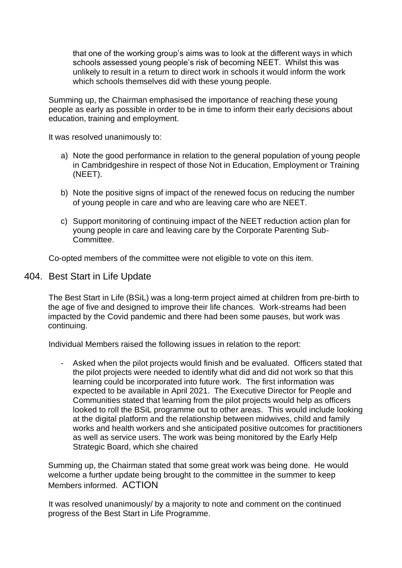that one of the working group's aims was to look at the different ways in which schools assessed young people's risk of becoming NEET. Whilst this was unlikely to result in a return to direct work in schools it would inform the work which schools themselves did with these young people.

Summing up, the Chairman emphasised the importance of reaching these young people as early as possible in order to be in time to inform their early decisions about education, training and employment.

It was resolved unanimously to:

- a) Note the good performance in relation to the general population of young people in Cambridgeshire in respect of those Not in Education, Employment or Training (NEET).
- b) Note the positive signs of impact of the renewed focus on reducing the number of young people in care and who are leaving care who are NEET.
- c) Support monitoring of continuing impact of the NEET reduction action plan for young people in care and leaving care by the Corporate Parenting Sub-Committee.

Co-opted members of the committee were not eligible to vote on this item.

#### 404. Best Start in Life Update

The Best Start in Life (BSiL) was a long-term project aimed at children from pre-birth to the age of five and designed to improve their life chances. Work-streams had been impacted by the Covid pandemic and there had been some pauses, but work was continuing.

Individual Members raised the following issues in relation to the report:

Asked when the pilot projects would finish and be evaluated. Officers stated that the pilot projects were needed to identify what did and did not work so that this learning could be incorporated into future work. The first information was expected to be available in April 2021. The Executive Director for People and Communities stated that learning from the pilot projects would help as officers looked to roll the BSiL programme out to other areas. This would include looking at the digital platform and the relationship between midwives, child and family works and health workers and she anticipated positive outcomes for practitioners as well as service users. The work was being monitored by the Early Help Strategic Board, which she chaired

Summing up, the Chairman stated that some great work was being done. He would welcome a further update being brought to the committee in the summer to keep Members informed. ACTION

It was resolved unanimously/ by a majority to note and comment on the continued progress of the Best Start in Life Programme.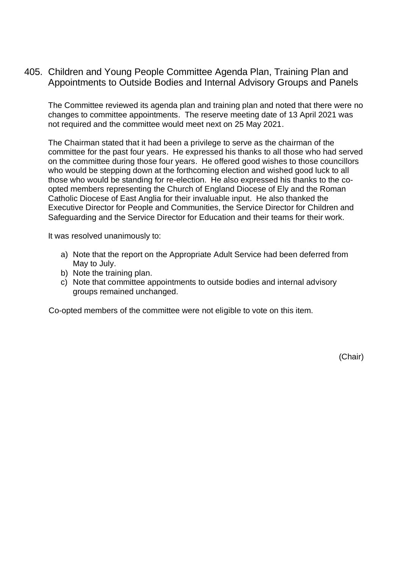405. Children and Young People Committee Agenda Plan, Training Plan and Appointments to Outside Bodies and Internal Advisory Groups and Panels

The Committee reviewed its agenda plan and training plan and noted that there were no changes to committee appointments. The reserve meeting date of 13 April 2021 was not required and the committee would meet next on 25 May 2021.

The Chairman stated that it had been a privilege to serve as the chairman of the committee for the past four years. He expressed his thanks to all those who had served on the committee during those four years. He offered good wishes to those councillors who would be stepping down at the forthcoming election and wished good luck to all those who would be standing for re-election. He also expressed his thanks to the coopted members representing the Church of England Diocese of Ely and the Roman Catholic Diocese of East Anglia for their invaluable input. He also thanked the Executive Director for People and Communities, the Service Director for Children and Safeguarding and the Service Director for Education and their teams for their work.

It was resolved unanimously to:

- a) Note that the report on the Appropriate Adult Service had been deferred from May to July.
- b) Note the training plan.
- c) Note that committee appointments to outside bodies and internal advisory groups remained unchanged.

Co-opted members of the committee were not eligible to vote on this item.

(Chair)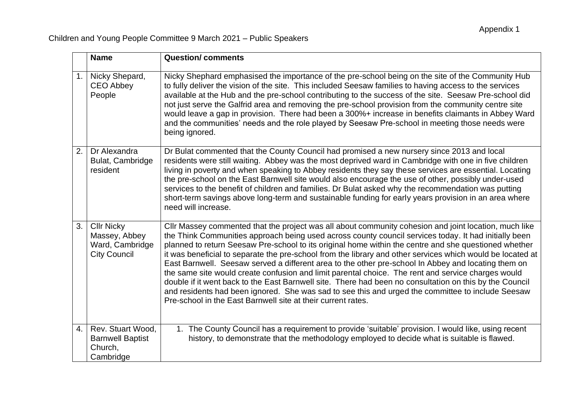|                | <b>Name</b>                                                                  | <b>Question/comments</b>                                                                                                                                                                                                                                                                                                                                                                                                                                                                                                                                                                                                                                                                                                                                                                                                                                                                                                           |
|----------------|------------------------------------------------------------------------------|------------------------------------------------------------------------------------------------------------------------------------------------------------------------------------------------------------------------------------------------------------------------------------------------------------------------------------------------------------------------------------------------------------------------------------------------------------------------------------------------------------------------------------------------------------------------------------------------------------------------------------------------------------------------------------------------------------------------------------------------------------------------------------------------------------------------------------------------------------------------------------------------------------------------------------|
| 1 <sub>1</sub> | Nicky Shepard,<br><b>CEO Abbey</b><br>People                                 | Nicky Shephard emphasised the importance of the pre-school being on the site of the Community Hub<br>to fully deliver the vision of the site. This included Seesaw families to having access to the services<br>available at the Hub and the pre-school contributing to the success of the site. Seesaw Pre-school did<br>not just serve the Galfrid area and removing the pre-school provision from the community centre site<br>would leave a gap in provision. There had been a 300%+ increase in benefits claimants in Abbey Ward<br>and the communities' needs and the role played by Seesaw Pre-school in meeting those needs were<br>being ignored.                                                                                                                                                                                                                                                                         |
| 2.             | Dr Alexandra<br>Bulat, Cambridge<br>resident                                 | Dr Bulat commented that the County Council had promised a new nursery since 2013 and local<br>residents were still waiting. Abbey was the most deprived ward in Cambridge with one in five children<br>living in poverty and when speaking to Abbey residents they say these services are essential. Locating<br>the pre-school on the East Barnwell site would also encourage the use of other, possibly under-used<br>services to the benefit of children and families. Dr Bulat asked why the recommendation was putting<br>short-term savings above long-term and sustainable funding for early years provision in an area where<br>need will increase.                                                                                                                                                                                                                                                                        |
| 3.             | <b>Cllr Nicky</b><br>Massey, Abbey<br>Ward, Cambridge<br><b>City Council</b> | CIIr Massey commented that the project was all about community cohesion and joint location, much like<br>the Think Communities approach being used across county council services today. It had initially been<br>planned to return Seesaw Pre-school to its original home within the centre and she questioned whether<br>it was beneficial to separate the pre-school from the library and other services which would be located at<br>East Barnwell. Seesaw served a different area to the other pre-school In Abbey and locating them on<br>the same site would create confusion and limit parental choice. The rent and service charges would<br>double if it went back to the East Barnwell site. There had been no consultation on this by the Council<br>and residents had been ignored. She was sad to see this and urged the committee to include Seesaw<br>Pre-school in the East Barnwell site at their current rates. |
| 4.             | Rev. Stuart Wood,<br><b>Barnwell Baptist</b><br>Church,<br>Cambridge         | 1. The County Council has a requirement to provide 'suitable' provision. I would like, using recent<br>history, to demonstrate that the methodology employed to decide what is suitable is flawed.                                                                                                                                                                                                                                                                                                                                                                                                                                                                                                                                                                                                                                                                                                                                 |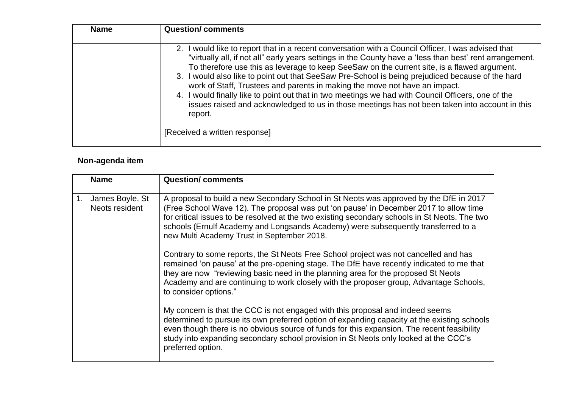| <b>Name</b> | <b>Question/comments</b>                                                                                                                                                                                                                                                                                                                                                                                                                                                                                                                                                                                                                                                                                           |
|-------------|--------------------------------------------------------------------------------------------------------------------------------------------------------------------------------------------------------------------------------------------------------------------------------------------------------------------------------------------------------------------------------------------------------------------------------------------------------------------------------------------------------------------------------------------------------------------------------------------------------------------------------------------------------------------------------------------------------------------|
|             | 2. I would like to report that in a recent conversation with a Council Officer, I was advised that<br>"virtually all, if not all" early years settings in the County have a 'less than best' rent arrangement.<br>To therefore use this as leverage to keep SeeSaw on the current site, is a flawed argument.<br>3. I would also like to point out that SeeSaw Pre-School is being prejudiced because of the hard<br>work of Staff, Trustees and parents in making the move not have an impact.<br>4. I would finally like to point out that in two meetings we had with Council Officers, one of the<br>issues raised and acknowledged to us in those meetings has not been taken into account in this<br>report. |
|             | [Received a written response]                                                                                                                                                                                                                                                                                                                                                                                                                                                                                                                                                                                                                                                                                      |

# **Non-agenda item**

|                | <b>Name</b>                       | <b>Question/comments</b>                                                                                                                                                                                                                                                                                                                                                                                            |
|----------------|-----------------------------------|---------------------------------------------------------------------------------------------------------------------------------------------------------------------------------------------------------------------------------------------------------------------------------------------------------------------------------------------------------------------------------------------------------------------|
| $\mathbf{1}$ . | James Boyle, St<br>Neots resident | A proposal to build a new Secondary School in St Neots was approved by the DfE in 2017<br>(Free School Wave 12). The proposal was put 'on pause' in December 2017 to allow time<br>for critical issues to be resolved at the two existing secondary schools in St Neots. The two<br>schools (Ernulf Academy and Longsands Academy) were subsequently transferred to a<br>new Multi Academy Trust in September 2018. |
|                |                                   | Contrary to some reports, the St Neots Free School project was not cancelled and has<br>remained 'on pause' at the pre-opening stage. The DfE have recently indicated to me that<br>they are now "reviewing basic need in the planning area for the proposed St Neots<br>Academy and are continuing to work closely with the proposer group, Advantage Schools,<br>to consider options."                            |
|                |                                   | My concern is that the CCC is not engaged with this proposal and indeed seems<br>determined to pursue its own preferred option of expanding capacity at the existing schools<br>even though there is no obvious source of funds for this expansion. The recent feasibility<br>study into expanding secondary school provision in St Neots only looked at the CCC's<br>preferred option.                             |